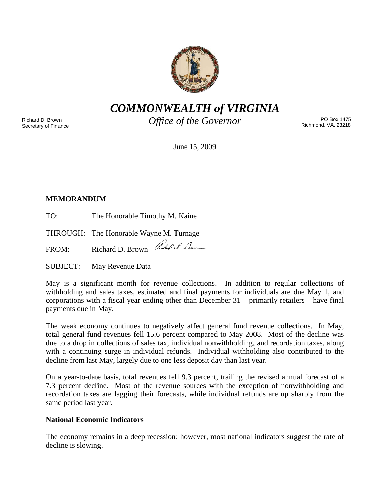

*COMMONWEALTH of VIRGINIA* 

Richard D. Brown Secretary of Finance *Office of the Governor* 

PO Box 1475 Richmond, VA. 23218

June 15, 2009

# **MEMORANDUM**

TO: The Honorable Timothy M. Kaine

THROUGH: The Honorable Wayne M. Turnage

FROM: Richard D. Brown Red S. Burn

SUBJECT: May Revenue Data

May is a significant month for revenue collections. In addition to regular collections of withholding and sales taxes, estimated and final payments for individuals are due May 1, and corporations with a fiscal year ending other than December 31 – primarily retailers – have final payments due in May.

The weak economy continues to negatively affect general fund revenue collections. In May, total general fund revenues fell 15.6 percent compared to May 2008. Most of the decline was due to a drop in collections of sales tax, individual nonwithholding, and recordation taxes, along with a continuing surge in individual refunds. Individual withholding also contributed to the decline from last May, largely due to one less deposit day than last year.

On a year-to-date basis, total revenues fell 9.3 percent, trailing the revised annual forecast of a 7.3 percent decline. Most of the revenue sources with the exception of nonwithholding and recordation taxes are lagging their forecasts, while individual refunds are up sharply from the same period last year.

## **National Economic Indicators**

The economy remains in a deep recession; however, most national indicators suggest the rate of decline is slowing.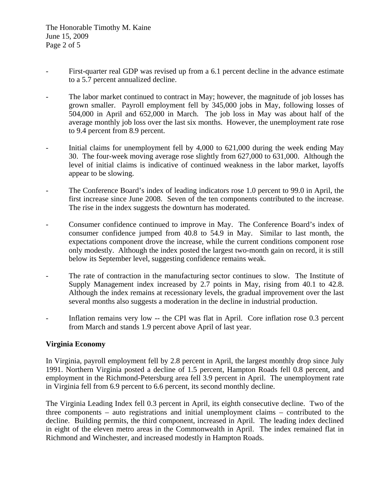- First-quarter real GDP was revised up from a 6.1 percent decline in the advance estimate to a 5.7 percent annualized decline.
- The labor market continued to contract in May; however, the magnitude of job losses has grown smaller. Payroll employment fell by 345,000 jobs in May, following losses of 504,000 in April and 652,000 in March. The job loss in May was about half of the average monthly job loss over the last six months. However, the unemployment rate rose to 9.4 percent from 8.9 percent.
- Initial claims for unemployment fell by 4,000 to 621,000 during the week ending May 30. The four-week moving average rose slightly from 627,000 to 631,000. Although the level of initial claims is indicative of continued weakness in the labor market, layoffs appear to be slowing.
- The Conference Board's index of leading indicators rose 1.0 percent to 99.0 in April, the first increase since June 2008. Seven of the ten components contributed to the increase. The rise in the index suggests the downturn has moderated.
- Consumer confidence continued to improve in May. The Conference Board's index of consumer confidence jumped from 40.8 to 54.9 in May. Similar to last month, the expectations component drove the increase, while the current conditions component rose only modestly. Although the index posted the largest two-month gain on record, it is still below its September level, suggesting confidence remains weak.
- The rate of contraction in the manufacturing sector continues to slow. The Institute of Supply Management index increased by 2.7 points in May, rising from 40.1 to 42.8. Although the index remains at recessionary levels, the gradual improvement over the last several months also suggests a moderation in the decline in industrial production.
- Inflation remains very low -- the CPI was flat in April. Core inflation rose 0.3 percent from March and stands 1.9 percent above April of last year.

### **Virginia Economy**

In Virginia, payroll employment fell by 2.8 percent in April, the largest monthly drop since July 1991. Northern Virginia posted a decline of 1.5 percent, Hampton Roads fell 0.8 percent, and employment in the Richmond-Petersburg area fell 3.9 percent in April. The unemployment rate in Virginia fell from 6.9 percent to 6.6 percent, its second monthly decline.

The Virginia Leading Index fell 0.3 percent in April, its eighth consecutive decline. Two of the three components – auto registrations and initial unemployment claims – contributed to the decline. Building permits, the third component, increased in April. The leading index declined in eight of the eleven metro areas in the Commonwealth in April. The index remained flat in Richmond and Winchester, and increased modestly in Hampton Roads.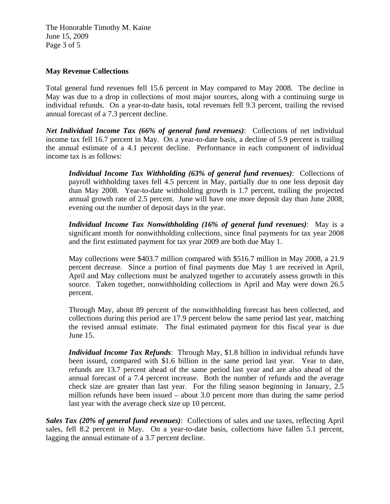The Honorable Timothy M. Kaine June 15, 2009 Page 3 of 5

#### **May Revenue Collections**

Total general fund revenues fell 15.6 percent in May compared to May 2008. The decline in May was due to a drop in collections of most major sources, along with a continuing surge in individual refunds. On a year-to-date basis, total revenues fell 9.3 percent, trailing the revised annual forecast of a 7.3 percent decline.

*Net Individual Income Tax (66% of general fund revenues)*: Collections of net individual income tax fell 16.7 percent in May. On a year-to-date basis, a decline of 5.9 percent is trailing the annual estimate of a 4.1 percent decline. Performance in each component of individual income tax is as follows:

*Individual Income Tax Withholding (63% of general fund revenues)*: Collections of payroll withholding taxes fell 4.5 percent in May, partially due to one less deposit day than May 2008. Year-to-date withholding growth is 1.7 percent, trailing the projected annual growth rate of 2.5 percent. June will have one more deposit day than June 2008, evening out the number of deposit days in the year.

*Individual Income Tax Nonwithholding (16% of general fund revenues)*: May is a significant month for nonwithholding collections, since final payments for tax year 2008 and the first estimated payment for tax year 2009 are both due May 1.

May collections were \$403.7 million compared with \$516.7 million in May 2008, a 21.9 percent decrease. Since a portion of final payments due May 1 are received in April, April and May collections must be analyzed together to accurately assess growth in this source. Taken together, nonwithholding collections in April and May were down 26.5 percent.

Through May, about 89 percent of the nonwithholding forecast has been collected, and collections during this period are 17.9 percent below the same period last year, matching the revised annual estimate. The final estimated payment for this fiscal year is due June 15.

*Individual Income Tax Refunds*: Through May, \$1.8 billion in individual refunds have been issued, compared with \$1.6 billion in the same period last year. Year to date, refunds are 13.7 percent ahead of the same period last year and are also ahead of the annual forecast of a 7.4 percent increase. Both the number of refunds and the average check size are greater than last year. For the filing season beginning in January, 2.5 million refunds have been issued – about 3.0 percent more than during the same period last year with the average check size up 10 percent.

*Sales Tax (20% of general fund revenues)*: Collections of sales and use taxes, reflecting April sales, fell 8.2 percent in May. On a year-to-date basis, collections have fallen 5.1 percent, lagging the annual estimate of a 3.7 percent decline.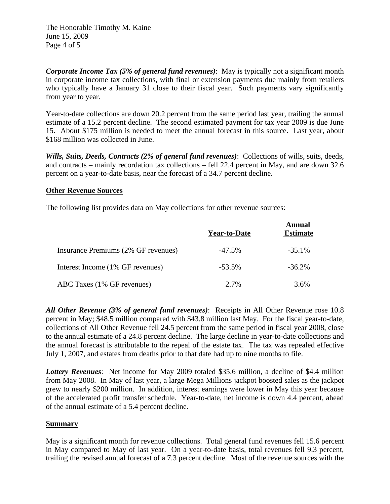The Honorable Timothy M. Kaine June 15, 2009 Page 4 of 5

*Corporate Income Tax (5% of general fund revenues)*: May is typically not a significant month in corporate income tax collections, with final or extension payments due mainly from retailers who typically have a January 31 close to their fiscal year. Such payments vary significantly from year to year.

Year-to-date collections are down 20.2 percent from the same period last year, trailing the annual estimate of a 15.2 percent decline. The second estimated payment for tax year 2009 is due June 15. About \$175 million is needed to meet the annual forecast in this source. Last year, about \$168 million was collected in June.

*Wills, Suits, Deeds, Contracts (2% of general fund revenues)*: Collections of wills, suits, deeds, and contracts – mainly recordation tax collections – fell 22.4 percent in May, and are down 32.6 percent on a year-to-date basis, near the forecast of a 34.7 percent decline.

### **Other Revenue Sources**

The following list provides data on May collections for other revenue sources:

|                                     | Year-to-Date | Annual<br><b>Estimate</b> |
|-------------------------------------|--------------|---------------------------|
| Insurance Premiums (2% GF revenues) | $-47.5\%$    | $-35.1\%$                 |
| Interest Income (1% GF revenues)    | $-53.5\%$    | $-36.2\%$                 |
| ABC Taxes (1% GF revenues)          | $2.7\%$      | 3.6%                      |

*All Other Revenue (3% of general fund revenues)*: Receipts in All Other Revenue rose 10.8 percent in May; \$48.5 million compared with \$43.8 million last May. For the fiscal year-to-date, collections of All Other Revenue fell 24.5 percent from the same period in fiscal year 2008, close to the annual estimate of a 24.8 percent decline. The large decline in year-to-date collections and the annual forecast is attributable to the repeal of the estate tax. The tax was repealed effective July 1, 2007, and estates from deaths prior to that date had up to nine months to file.

*Lottery Revenues*: Net income for May 2009 totaled \$35.6 million, a decline of \$4.4 million from May 2008. In May of last year, a large Mega Millions jackpot boosted sales as the jackpot grew to nearly \$200 million. In addition, interest earnings were lower in May this year because of the accelerated profit transfer schedule. Year-to-date, net income is down 4.4 percent, ahead of the annual estimate of a 5.4 percent decline.

#### **Summary**

May is a significant month for revenue collections. Total general fund revenues fell 15.6 percent in May compared to May of last year. On a year-to-date basis, total revenues fell 9.3 percent, trailing the revised annual forecast of a 7.3 percent decline. Most of the revenue sources with the